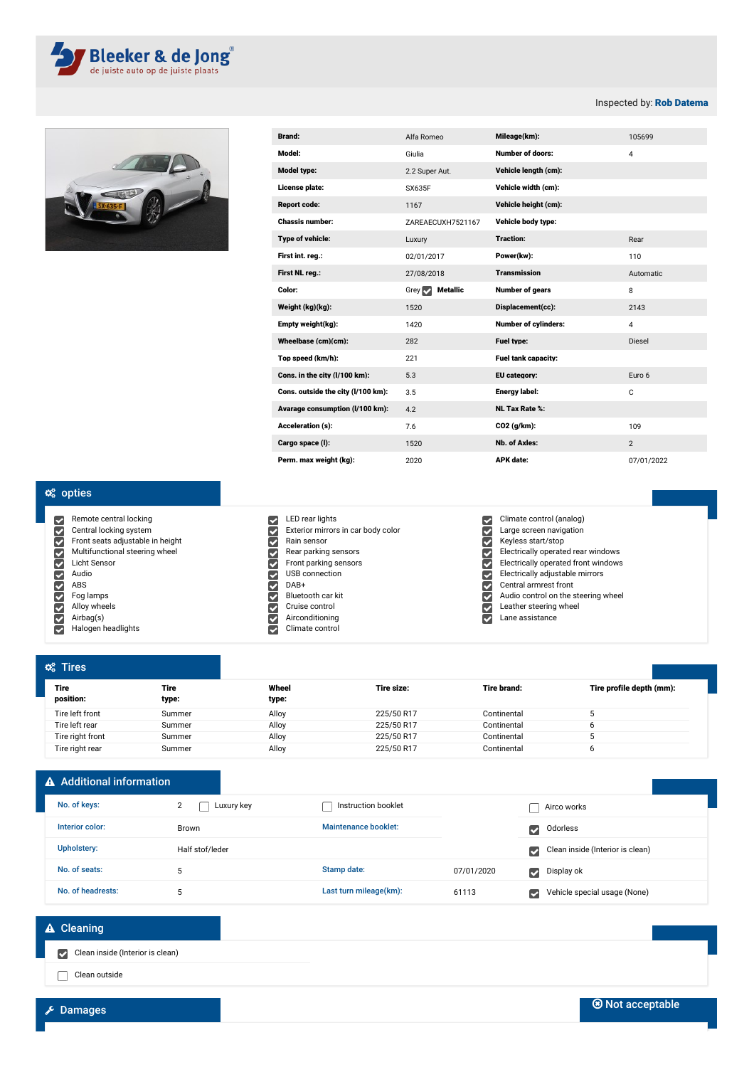



| <b>Brand:</b>                      | Alfa Romeo                     | Mileage(km):                | 105699         |
|------------------------------------|--------------------------------|-----------------------------|----------------|
| Model:                             | Giulia                         | <b>Number of doors:</b>     | $\overline{4}$ |
| <b>Model type:</b>                 | 2.2 Super Aut.                 | Vehicle length (cm):        |                |
| License plate:                     | SX635F                         | Vehicle width (cm):         |                |
| <b>Report code:</b>                | 1167                           | Vehicle height (cm):        |                |
| <b>Chassis number:</b>             | ZAREAECUXH7521167              | Vehicle body type:          |                |
| Type of vehicle:                   | Luxury                         | <b>Traction:</b>            | Rear           |
| First int. reg.:                   | 02/01/2017                     | Power(kw):                  | 110            |
| First NL reg.:                     | 27/08/2018                     | <b>Transmission</b>         | Automatic      |
| Color:                             | Grey $\sim$<br><b>Metallic</b> | <b>Number of gears</b>      | 8              |
| Weight (kg)(kg):                   | 1520                           | Displacement(cc):           | 2143           |
| Empty weight(kg):                  | 1420                           | <b>Number of cylinders:</b> | $\overline{4}$ |
| Wheelbase (cm)(cm):                | 282                            | Fuel type:                  | <b>Diesel</b>  |
| Top speed (km/h):                  | 221                            | <b>Fuel tank capacity:</b>  |                |
| Cons. in the city (I/100 km):      | 5.3                            | EU category:                | Euro 6         |
| Cons. outside the city (I/100 km): | 3.5                            | Energy label:               | C              |
| Avarage consumption (I/100 km):    | 4.2                            | <b>NL Tax Rate %:</b>       |                |
| <b>Acceleration (s):</b>           | 7.6                            | CO2 (a/km):                 | 109            |
| Cargo space (I):                   | 1520                           | Nb. of Axles:               | 2              |
| Perm. max weight (kg):             | 2020                           | <b>APK</b> date:            | 07/01/2022     |

## $\alpha_{s}^{s}$  opties

Remote central locking 00000000000 Central locking system Front seats adjustable in height Multifunctional steering wheel Licht Sensor Audio ABS Fog lamps Alloy wheels Airbag(s)

Halogen headlights

|    | LED rear lights                    |
|----|------------------------------------|
|    | Exterior mirrors in car body color |
| v  | Rain sensor                        |
| ۰  | Rear parking sensors               |
| ✓  | Front parking sensors              |
| ✓  | USB connection                     |
|    | DAR+                               |
| v  | Bluetooth car kit                  |
| e, | Cruise control                     |
| ℐ  | Airconditioning                    |
|    | Climate control                    |

## Climate control (analog) Large screen navigation Keyless start/stop Electrically operated rear windows Electrically operated front windows Electrically adjustable mirrors Central armrest front Audio control on the steering wheel<br>Leather steering wheel Leather steering wheel

Lane assistance

| $\alpha$ <sup>2</sup> Tires |               |                |            |             |                          |
|-----------------------------|---------------|----------------|------------|-------------|--------------------------|
| <b>Tire</b><br>position:    | Tire<br>type: | Wheel<br>type: | Tire size: | Tire brand: | Tire profile depth (mm): |
| Tire left front             | Summer        | Alloy          | 225/50 R17 | Continental |                          |
| Tire left rear              | Summer        | Alloy          | 225/50 R17 | Continental |                          |
| Tire right front            | Summer        | Alloy          | 225/50 R17 | Continental |                          |
| Tire right rear             | Summer        | Alloy          | 225/50 R17 | Continental |                          |

## A Additional information No. of keys: Interior color: Brown Upholstery: Half stof/leder No. of seats: 5 No. of headrests: 5  $\Box$  Instruction booklet  $\Box$  Airco works Maintenance booklet: Calculation Controllering Controllering Controllering Controllering Controllering Controllering Controllering Controllering Controllering Controllering Controllering Controllering Controllering Control Clean inside (Interior is clean) Stamp date: 07/01/2020 Display ok Last turn mileage(km): 61113 Vehicle special usage (None) 2 **Luxury key**

## **A** Cleaning

Clean inside (Interior is clean)

Clean outside

Inspected by: Rob Datema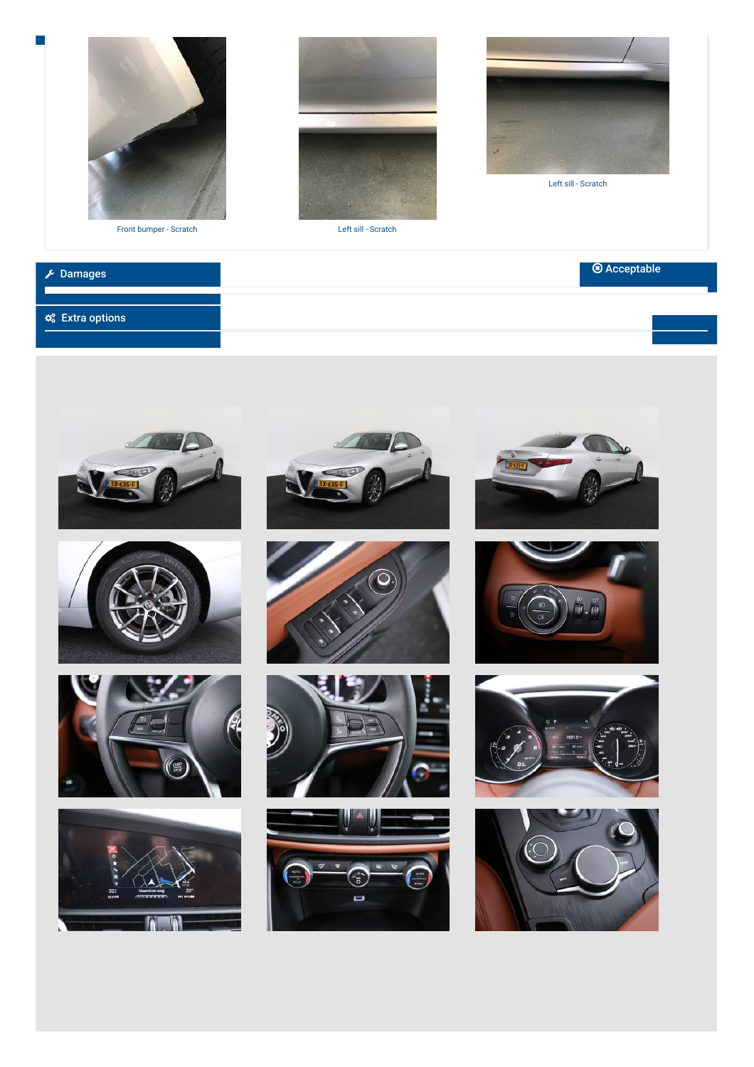